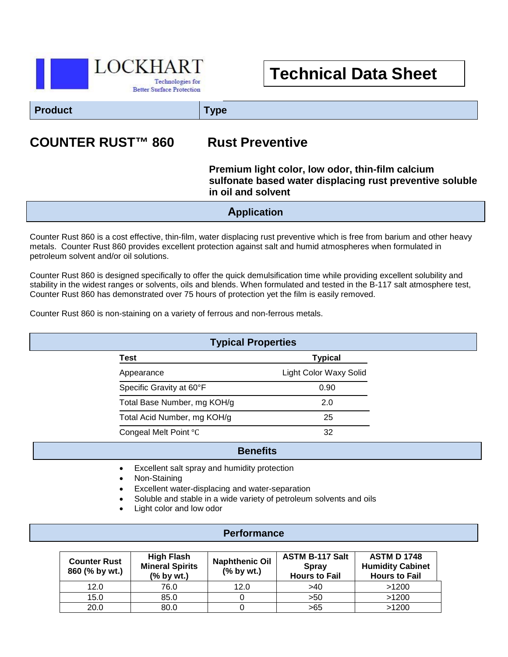

# **Technical Data Sheet**

**Product Type**

## **COUNTER RUST™ 860 Rust Preventive**

#### **Premium light color, low odor, thin-film calcium sulfonate based water displacing rust preventive soluble in oil and solvent**

**Application**

Counter Rust 860 is a cost effective, thin-film, water displacing rust preventive which is free from barium and other heavy metals. Counter Rust 860 provides excellent protection against salt and humid atmospheres when formulated in petroleum solvent and/or oil solutions.

Counter Rust 860 is designed specifically to offer the quick demulsification time while providing excellent solubility and stability in the widest ranges or solvents, oils and blends. When formulated and tested in the B-117 salt atmosphere test, Counter Rust 860 has demonstrated over 75 hours of protection yet the film is easily removed.

Counter Rust 860 is non-staining on a variety of ferrous and non-ferrous metals.

| <b>Typical Properties</b> |                             |                        |  |  |
|---------------------------|-----------------------------|------------------------|--|--|
|                           | Test                        | <b>Typical</b>         |  |  |
|                           | Appearance                  | Light Color Waxy Solid |  |  |
|                           | Specific Gravity at 60°F    | 0.90                   |  |  |
|                           | Total Base Number, mg KOH/g | 2.0                    |  |  |
|                           | Total Acid Number, mg KOH/g | 25                     |  |  |
|                           | Congeal Melt Point °C       | 32                     |  |  |

#### **Benefits**

- i<br>I • Excellent salt spray and humidity protection
- Non-Staining
- Excellent water-displacing and water-separation
- Soluble and stable in a wide variety of petroleum solvents and oils
- Light color and low odor

#### **Performance**

| <b>Counter Rust</b><br>860 (% by wt.) | <b>High Flash</b><br><b>Mineral Spirits</b><br>(% by wt.) | <b>Naphthenic Oil</b><br>$(%$ by wt.) | <b>ASTM B-117 Salt</b><br><b>Spray</b><br><b>Hours to Fail</b> | <b>ASTM D 1748</b><br><b>Humidity Cabinet</b><br><b>Hours to Fail</b> |
|---------------------------------------|-----------------------------------------------------------|---------------------------------------|----------------------------------------------------------------|-----------------------------------------------------------------------|
| 12.0                                  | 76.0                                                      | 12.0                                  | >40                                                            | >1200                                                                 |
| 15.0                                  | 85.0                                                      |                                       | >50                                                            | >1200                                                                 |
| 20.0                                  | 80.0                                                      |                                       | >65                                                            | >1200                                                                 |